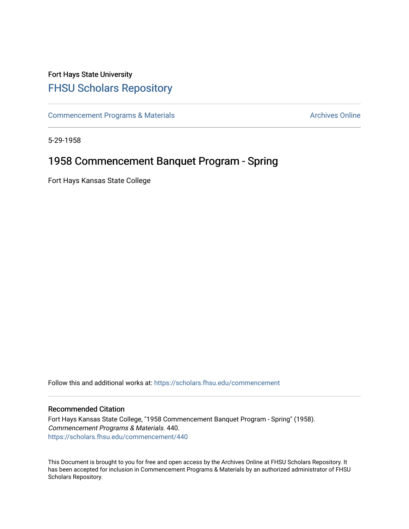# Fort Hays State University [FHSU Scholars Repository](https://scholars.fhsu.edu/)

[Commencement Programs & Materials](https://scholars.fhsu.edu/commencement) **Archives Online** Archives Online

5-29-1958

## 1958 Commencement Banquet Program - Spring

Fort Hays Kansas State College

Follow this and additional works at: [https://scholars.fhsu.edu/commencement](https://scholars.fhsu.edu/commencement?utm_source=scholars.fhsu.edu%2Fcommencement%2F440&utm_medium=PDF&utm_campaign=PDFCoverPages)

### Recommended Citation

Fort Hays Kansas State College, "1958 Commencement Banquet Program - Spring" (1958). Commencement Programs & Materials. 440. [https://scholars.fhsu.edu/commencement/440](https://scholars.fhsu.edu/commencement/440?utm_source=scholars.fhsu.edu%2Fcommencement%2F440&utm_medium=PDF&utm_campaign=PDFCoverPages)

This Document is brought to you for free and open access by the Archives Online at FHSU Scholars Repository. It has been accepted for inclusion in Commencement Programs & Materials by an authorized administrator of FHSU Scholars Repository.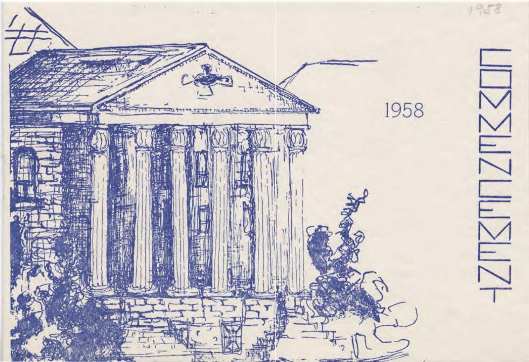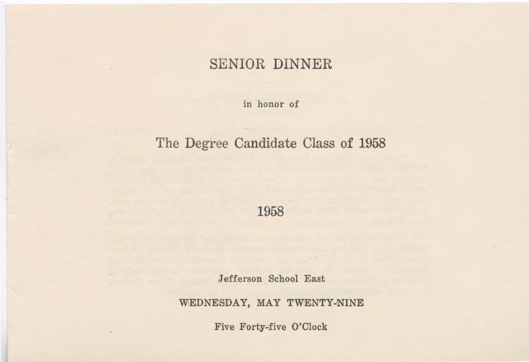### SENIOR DINNER

in honor of

## The Degree Candidate Class of 1958

1958

Jefferson School East

WEDNESDAY, MAY TWENTY-NINE

Five Forty-five O'Clock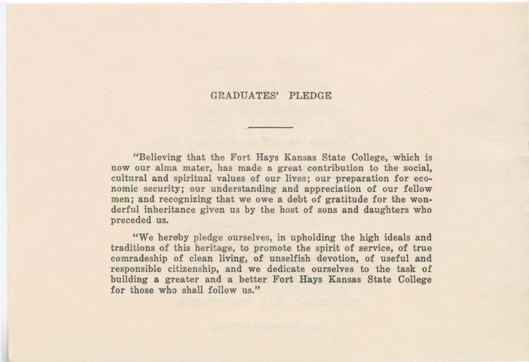### GRADUATES' PLEDGE

"Believing that the Fort Hays Kansas State College, which is now our alma mater, has made a great contribution to the social, cultural and spiritual values of our lives; our preparation for economic security; our understanding and appreciation of our fellow men; and recognizing that we owe a debt of gratitude for the wonderful inheritance given us by the host of sons and daughters who preceded us.

"We hereby pledge ourselves, in upholding the high ideals and traditions of this heritage, to promote the spirit of service, of true comradeship of clean living, of unselfish devotion, of useful and responsible citizenship, and we dedicate ourselves to the task of building a greater and a better Fort Hays Kansas State College for those who shall follow us."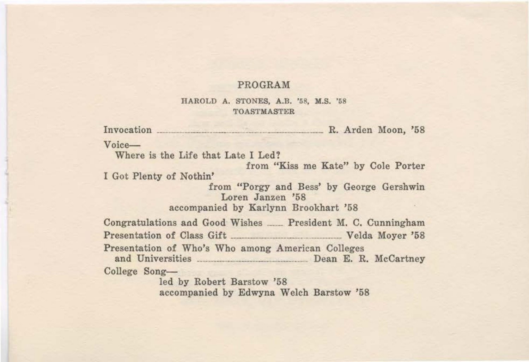#### **PROGRAM**

#### HAROLD A. STONES, A.B. '58, M.S. '58 TOASTMASTER

Invocation R. Arden Moon, '58 Voice-Where is the Life that Late I Led? from "Kiss me Kate" by Cole Porter I Got Plenty of Nothin' from "Porgy and Bess' by George Gershwin Loren Janzen '68 accompanied by Karlynn Brookhart '68 Congratulations and Good Wishes \_\_\_\_ President M. C. Cunningham Presentation of Class Gift \_\_\_\_\_\_\_\_\_\_\_\_\_\_\_\_\_\_\_\_\_\_\_\_\_\_\_\_\_\_\_\_ Velda Moyer '68 Presentation of Who's Who among American Colleges and Universities Dean E. R. McCartney College Songled by Robert Barstow '68

accompanied by Edwyna Welch Barstow '68